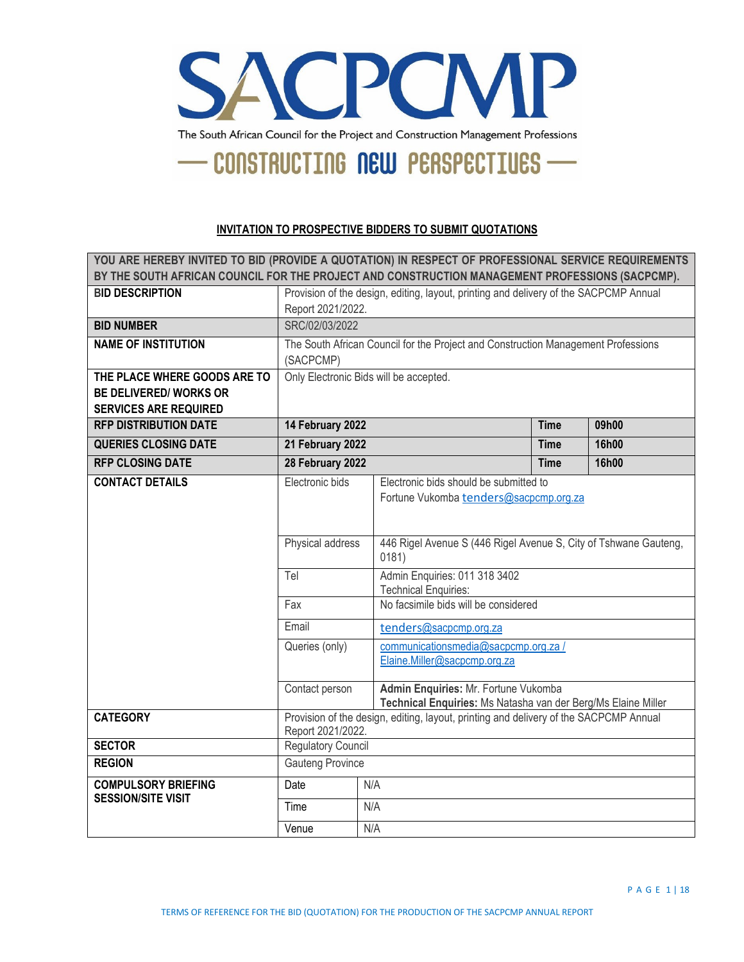

#### **INVITATION TO PROSPECTIVE BIDDERS TO SUBMIT QUOTATIONS**

| YOU ARE HEREBY INVITED TO BID (PROVIDE A QUOTATION) IN RESPECT OF PROFESSIONAL SERVICE REQUIREMENTS<br>BY THE SOUTH AFRICAN COUNCIL FOR THE PROJECT AND CONSTRUCTION MANAGEMENT PROFESSIONS (SACPCMP). |                                                                                                            |     |                                                                                                       |             |       |  |
|--------------------------------------------------------------------------------------------------------------------------------------------------------------------------------------------------------|------------------------------------------------------------------------------------------------------------|-----|-------------------------------------------------------------------------------------------------------|-------------|-------|--|
| <b>BID DESCRIPTION</b>                                                                                                                                                                                 | Provision of the design, editing, layout, printing and delivery of the SACPCMP Annual<br>Report 2021/2022. |     |                                                                                                       |             |       |  |
| <b>BID NUMBER</b>                                                                                                                                                                                      | SRC/02/03/2022                                                                                             |     |                                                                                                       |             |       |  |
| <b>NAME OF INSTITUTION</b>                                                                                                                                                                             | (SACPCMP)                                                                                                  |     | The South African Council for the Project and Construction Management Professions                     |             |       |  |
| THE PLACE WHERE GOODS ARE TO<br><b>BE DELIVERED/ WORKS OR</b><br><b>SERVICES ARE REQUIRED</b>                                                                                                          | Only Electronic Bids will be accepted.                                                                     |     |                                                                                                       |             |       |  |
| <b>RFP DISTRIBUTION DATE</b>                                                                                                                                                                           | 14 February 2022                                                                                           |     |                                                                                                       | <b>Time</b> | 09h00 |  |
| <b>QUERIES CLOSING DATE</b>                                                                                                                                                                            | 21 February 2022<br>16h00<br><b>Time</b>                                                                   |     |                                                                                                       |             |       |  |
| <b>RFP CLOSING DATE</b>                                                                                                                                                                                | 28 February 2022                                                                                           |     |                                                                                                       | <b>Time</b> | 16h00 |  |
| <b>CONTACT DETAILS</b>                                                                                                                                                                                 | Electronic bids                                                                                            |     | Electronic bids should be submitted to<br>Fortune Vukomba tenders@sacpcmp.org.za                      |             |       |  |
|                                                                                                                                                                                                        | Physical address                                                                                           |     | 446 Rigel Avenue S (446 Rigel Avenue S, City of Tshwane Gauteng,<br>0181)                             |             |       |  |
|                                                                                                                                                                                                        | Admin Enquiries: 011 318 3402<br>Tel<br><b>Technical Enquiries:</b>                                        |     |                                                                                                       |             |       |  |
|                                                                                                                                                                                                        | Fax                                                                                                        |     | No facsimile bids will be considered                                                                  |             |       |  |
|                                                                                                                                                                                                        | Email                                                                                                      |     | tenders@sacpcmp.org.za                                                                                |             |       |  |
|                                                                                                                                                                                                        | Queries (only)                                                                                             |     | communicationsmedia@sacpcmp.org.za/<br>Elaine.Miller@sacpcmp.org.za                                   |             |       |  |
|                                                                                                                                                                                                        | Contact person                                                                                             |     | Admin Enquiries: Mr. Fortune Vukomba<br>Technical Enquiries: Ms Natasha van der Berg/Ms Elaine Miller |             |       |  |
| <b>CATEGORY</b>                                                                                                                                                                                        | Provision of the design, editing, layout, printing and delivery of the SACPCMP Annual<br>Report 2021/2022. |     |                                                                                                       |             |       |  |
| <b>SECTOR</b>                                                                                                                                                                                          | <b>Regulatory Council</b>                                                                                  |     |                                                                                                       |             |       |  |
| <b>REGION</b>                                                                                                                                                                                          | <b>Gauteng Province</b>                                                                                    |     |                                                                                                       |             |       |  |
| <b>COMPULSORY BRIEFING</b>                                                                                                                                                                             | Date                                                                                                       | N/A |                                                                                                       |             |       |  |
| <b>SESSION/SITE VISIT</b>                                                                                                                                                                              | Time                                                                                                       |     | N/A                                                                                                   |             |       |  |
|                                                                                                                                                                                                        | Venue                                                                                                      | N/A |                                                                                                       |             |       |  |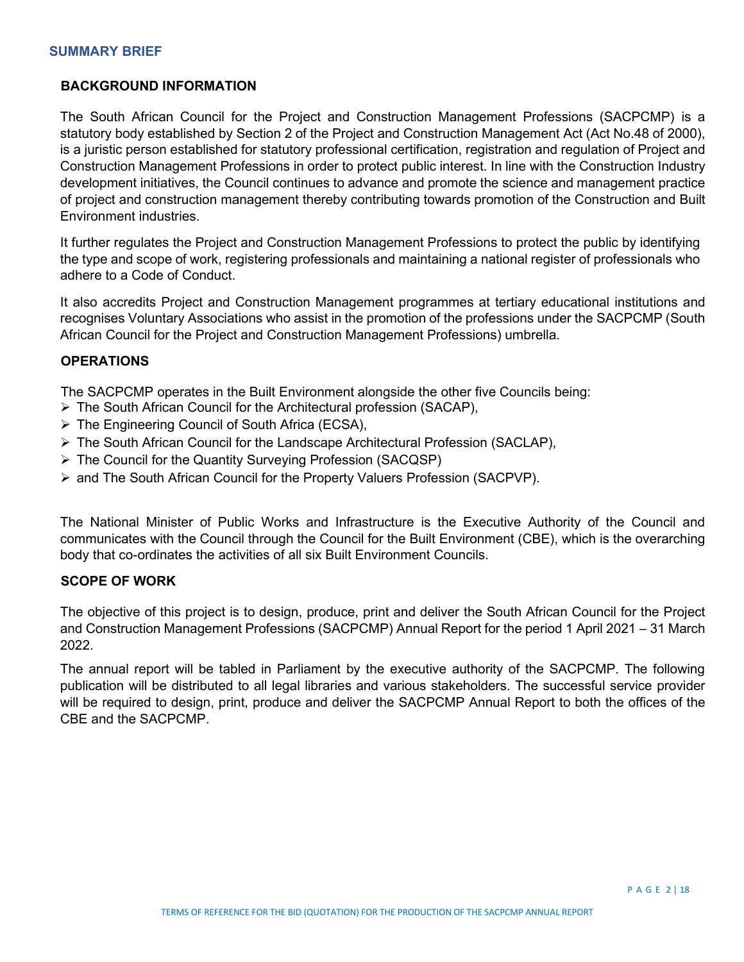### **BACKGROUND INFORMATION**

The South African Council for the Project and Construction Management Professions (SACPCMP) is a statutory body established by Section 2 of the Project and Construction Management Act (Act No.48 of 2000), is a juristic person established for statutory professional certification, registration and regulation of Project and Construction Management Professions in order to protect public interest. In line with the Construction Industry development initiatives, the Council continues to advance and promote the science and management practice of project and construction management thereby contributing towards promotion of the Construction and Built Environment industries.

It further regulates the Project and Construction Management Professions to protect the public by identifying the type and scope of work, registering professionals and maintaining a national register of professionals who adhere to a Code of Conduct.

It also accredits Project and Construction Management programmes at tertiary educational institutions and recognises Voluntary Associations who assist in the promotion of the professions under the SACPCMP (South African Council for the Project and Construction Management Professions) umbrella.

### **OPERATIONS**

The SACPCMP operates in the Built Environment alongside the other five Councils being:

- The South African Council for the Architectural profession (SACAP),
- The Engineering Council of South Africa (ECSA),
- $\triangleright$  The South African Council for the Landscape Architectural Profession (SACLAP),
- The Council for the Quantity Surveying Profession (SACQSP)
- $\triangleright$  and The South African Council for the Property Valuers Profession (SACPVP).

The National Minister of Public Works and Infrastructure is the Executive Authority of the Council and communicates with the Council through the Council for the Built Environment (CBE), which is the overarching body that co-ordinates the activities of all six Built Environment Councils.

### **SCOPE OF WORK**

The objective of this project is to design, produce, print and deliver the South African Council for the Project and Construction Management Professions (SACPCMP) Annual Report for the period 1 April 2021 – 31 March 2022.

The annual report will be tabled in Parliament by the executive authority of the SACPCMP. The following publication will be distributed to all legal libraries and various stakeholders. The successful service provider will be required to design, print, produce and deliver the SACPCMP Annual Report to both the offices of the CBE and the SACPCMP.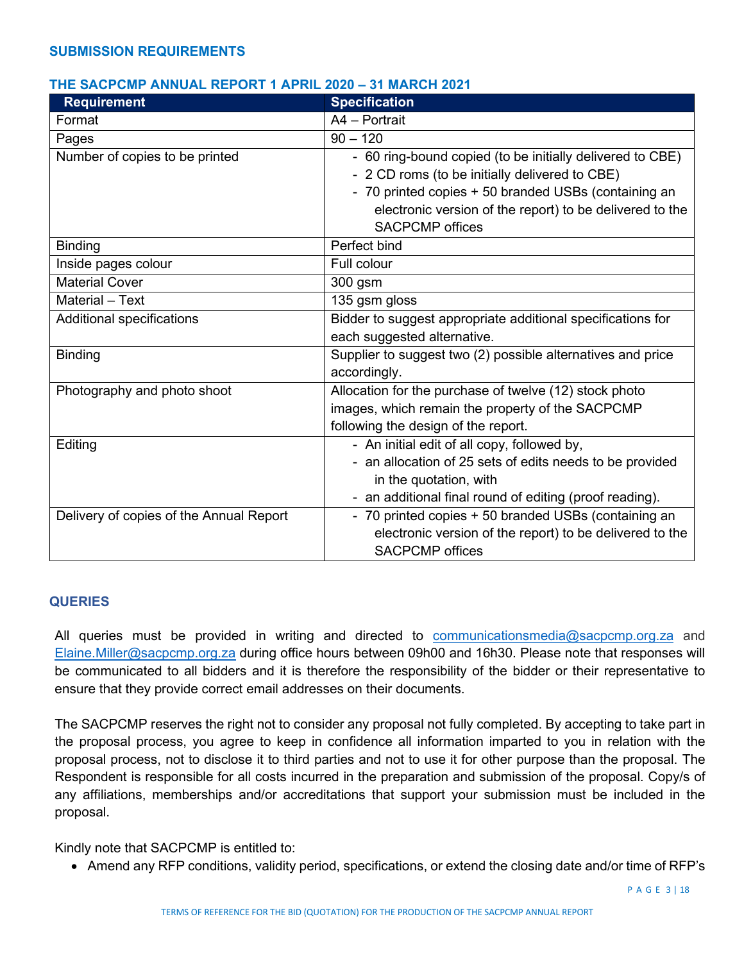### **THE SACPCMP ANNUAL REPORT 1 APRIL 2020 – 31 MARCH 2021**

| <b>Requirement</b>                      | <b>Specification</b>                                        |
|-----------------------------------------|-------------------------------------------------------------|
| Format                                  | A4 - Portrait                                               |
| Pages                                   | $90 - 120$                                                  |
| Number of copies to be printed          | - 60 ring-bound copied (to be initially delivered to CBE)   |
|                                         | - 2 CD roms (to be initially delivered to CBE)              |
|                                         | - 70 printed copies + 50 branded USBs (containing an        |
|                                         | electronic version of the report) to be delivered to the    |
|                                         | <b>SACPCMP</b> offices                                      |
| <b>Binding</b>                          | Perfect bind                                                |
| Inside pages colour                     | Full colour                                                 |
| <b>Material Cover</b>                   | 300 gsm                                                     |
| Material - Text                         | 135 gsm gloss                                               |
| Additional specifications               | Bidder to suggest appropriate additional specifications for |
|                                         | each suggested alternative.                                 |
| <b>Binding</b>                          | Supplier to suggest two (2) possible alternatives and price |
|                                         | accordingly.                                                |
| Photography and photo shoot             | Allocation for the purchase of twelve (12) stock photo      |
|                                         | images, which remain the property of the SACPCMP            |
|                                         | following the design of the report.                         |
| Editing                                 | - An initial edit of all copy, followed by,                 |
|                                         | - an allocation of 25 sets of edits needs to be provided    |
|                                         | in the quotation, with                                      |
|                                         | - an additional final round of editing (proof reading).     |
| Delivery of copies of the Annual Report | - 70 printed copies + 50 branded USBs (containing an        |
|                                         | electronic version of the report) to be delivered to the    |
|                                         | <b>SACPCMP</b> offices                                      |

### **QUERIES**

All queries must be provided in writing and directed to [communicationsmedia@sacpcmp.org.za](mailto:communicationsmedia@sacpcmp.org.za) and [Elaine.Miller@sacpcmp.org.za](mailto:Elaine.Miller@sacpcmp.org.za) during office hours between 09h00 and 16h30. Please note that responses will be communicated to all bidders and it is therefore the responsibility of the bidder or their representative to ensure that they provide correct email addresses on their documents.

The SACPCMP reserves the right not to consider any proposal not fully completed. By accepting to take part in the proposal process, you agree to keep in confidence all information imparted to you in relation with the proposal process, not to disclose it to third parties and not to use it for other purpose than the proposal. The Respondent is responsible for all costs incurred in the preparation and submission of the proposal. Copy/s of any affiliations, memberships and/or accreditations that support your submission must be included in the proposal.

Kindly note that SACPCMP is entitled to:

• Amend any RFP conditions, validity period, specifications, or extend the closing date and/or time of RFP's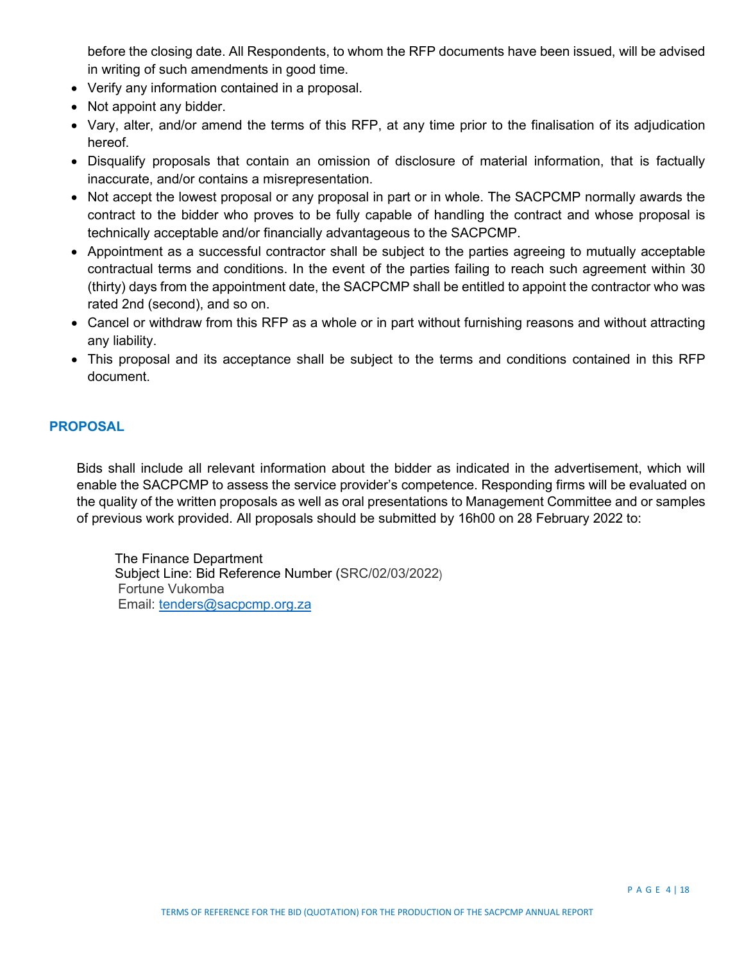before the closing date. All Respondents, to whom the RFP documents have been issued, will be advised in writing of such amendments in good time.

- Verify any information contained in a proposal.
- Not appoint any bidder.
- Vary, alter, and/or amend the terms of this RFP, at any time prior to the finalisation of its adjudication hereof.
- Disqualify proposals that contain an omission of disclosure of material information, that is factually inaccurate, and/or contains a misrepresentation.
- Not accept the lowest proposal or any proposal in part or in whole. The SACPCMP normally awards the contract to the bidder who proves to be fully capable of handling the contract and whose proposal is technically acceptable and/or financially advantageous to the SACPCMP.
- Appointment as a successful contractor shall be subject to the parties agreeing to mutually acceptable contractual terms and conditions. In the event of the parties failing to reach such agreement within 30 (thirty) days from the appointment date, the SACPCMP shall be entitled to appoint the contractor who was rated 2nd (second), and so on.
- Cancel or withdraw from this RFP as a whole or in part without furnishing reasons and without attracting any liability.
- This proposal and its acceptance shall be subject to the terms and conditions contained in this RFP document.

### **PROPOSAL**

Bids shall include all relevant information about the bidder as indicated in the advertisement, which will enable the SACPCMP to assess the service provider's competence. Responding firms will be evaluated on the quality of the written proposals as well as oral presentations to Management Committee and or samples of previous work provided. All proposals should be submitted by 16h00 on 28 February 2022 to:

The Finance Department Subject Line: Bid Reference Number (SRC/02/03/2022) Fortune Vukomba Email: [tenders@sacpcmp.org.za](mailto:tenders@sacpcmp.org.za)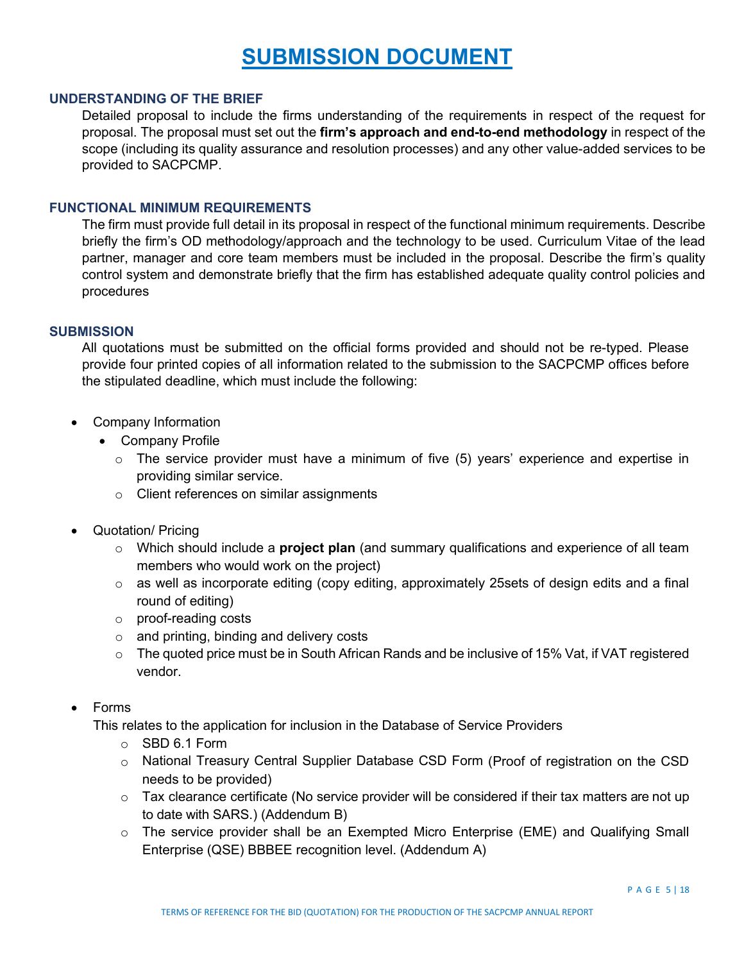# **SUBMISSION DOCUMENT**

### **UNDERSTANDING OF THE BRIEF**

Detailed proposal to include the firms understanding of the requirements in respect of the request for proposal. The proposal must set out the **firm's approach and end-to-end methodology** in respect of the scope (including its quality assurance and resolution processes) and any other value-added services to be provided to SACPCMP.

### **FUNCTIONAL MINIMUM REQUIREMENTS**

The firm must provide full detail in its proposal in respect of the functional minimum requirements. Describe briefly the firm's OD methodology/approach and the technology to be used. Curriculum Vitae of the lead partner, manager and core team members must be included in the proposal. Describe the firm's quality control system and demonstrate briefly that the firm has established adequate quality control policies and procedures

#### **SUBMISSION**

All quotations must be submitted on the official forms provided and should not be re-typed. Please provide four printed copies of all information related to the submission to the SACPCMP offices before the stipulated deadline, which must include the following:

- Company Information
	- Company Profile
		- $\circ$  The service provider must have a minimum of five (5) years' experience and expertise in providing similar service.
		- o Client references on similar assignments
- Quotation/ Pricing
	- o Which should include a **project plan** (and summary qualifications and experience of all team members who would work on the project)
	- o as well as incorporate editing (copy editing, approximately 25sets of design edits and a final round of editing)
	- o proof-reading costs
	- o and printing, binding and delivery costs
	- $\circ$  The quoted price must be in South African Rands and be inclusive of 15% Vat, if VAT registered vendor.

### • Forms

This relates to the application for inclusion in the Database of Service Providers

- o SBD 6.1 Form
- o National Treasury Central Supplier Database CSD Form (Proof of registration on the CSD needs to be provided)
- $\circ$  Tax clearance certificate (No service provider will be considered if their tax matters are not up to date with SARS.) (Addendum B)
- $\circ$  The service provider shall be an Exempted Micro Enterprise (EME) and Qualifying Small Enterprise (QSE) BBBEE recognition level. (Addendum A)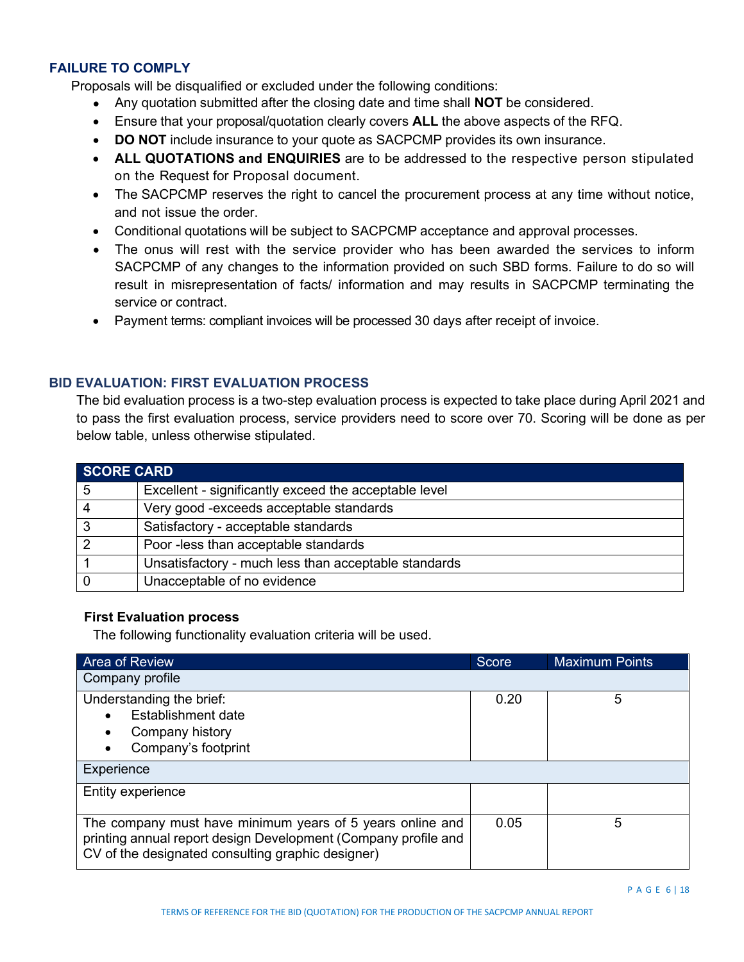### **FAILURE TO COMPLY**

Proposals will be disqualified or excluded under the following conditions:

- Any quotation submitted after the closing date and time shall **NOT** be considered.
- Ensure that your proposal/quotation clearly covers **ALL** the above aspects of the RFQ.
- **DO NOT** include insurance to your quote as SACPCMP provides its own insurance.
- **ALL QUOTATIONS and ENQUIRIES** are to be addressed to the respective person stipulated on the Request for Proposal document.
- The SACPCMP reserves the right to cancel the procurement process at any time without notice, and not issue the order.
- Conditional quotations will be subject to SACPCMP acceptance and approval processes.
- The onus will rest with the service provider who has been awarded the services to inform SACPCMP of any changes to the information provided on such SBD forms. Failure to do so will result in misrepresentation of facts/ information and may results in SACPCMP terminating the service or contract.
- Payment terms: compliant invoices will be processed 30 days after receipt of invoice.

### **BID EVALUATION: FIRST EVALUATION PROCESS**

The bid evaluation process is a two-step evaluation process is expected to take place during April 2021 and to pass the first evaluation process, service providers need to score over 70. Scoring will be done as per below table, unless otherwise stipulated.

| <b>SCORE CARD</b> |                                                       |  |
|-------------------|-------------------------------------------------------|--|
| 5                 | Excellent - significantly exceed the acceptable level |  |
| -4                | Very good - exceeds acceptable standards              |  |
| $\mathbf{3}$      | Satisfactory - acceptable standards                   |  |
| $\overline{2}$    | Poor -less than acceptable standards                  |  |
|                   | Unsatisfactory - much less than acceptable standards  |  |
|                   | Unacceptable of no evidence                           |  |

### **First Evaluation process**

The following functionality evaluation criteria will be used.

| <b>Area of Review</b>                                                                                                                                                            | Score | <b>Maximum Points</b> |  |
|----------------------------------------------------------------------------------------------------------------------------------------------------------------------------------|-------|-----------------------|--|
| Company profile                                                                                                                                                                  |       |                       |  |
| Understanding the brief:                                                                                                                                                         | 0.20  | 5                     |  |
| Establishment date                                                                                                                                                               |       |                       |  |
| Company history                                                                                                                                                                  |       |                       |  |
| Company's footprint                                                                                                                                                              |       |                       |  |
| Experience                                                                                                                                                                       |       |                       |  |
| Entity experience                                                                                                                                                                |       |                       |  |
| The company must have minimum years of 5 years online and<br>printing annual report design Development (Company profile and<br>CV of the designated consulting graphic designer) | 0.05  | 5                     |  |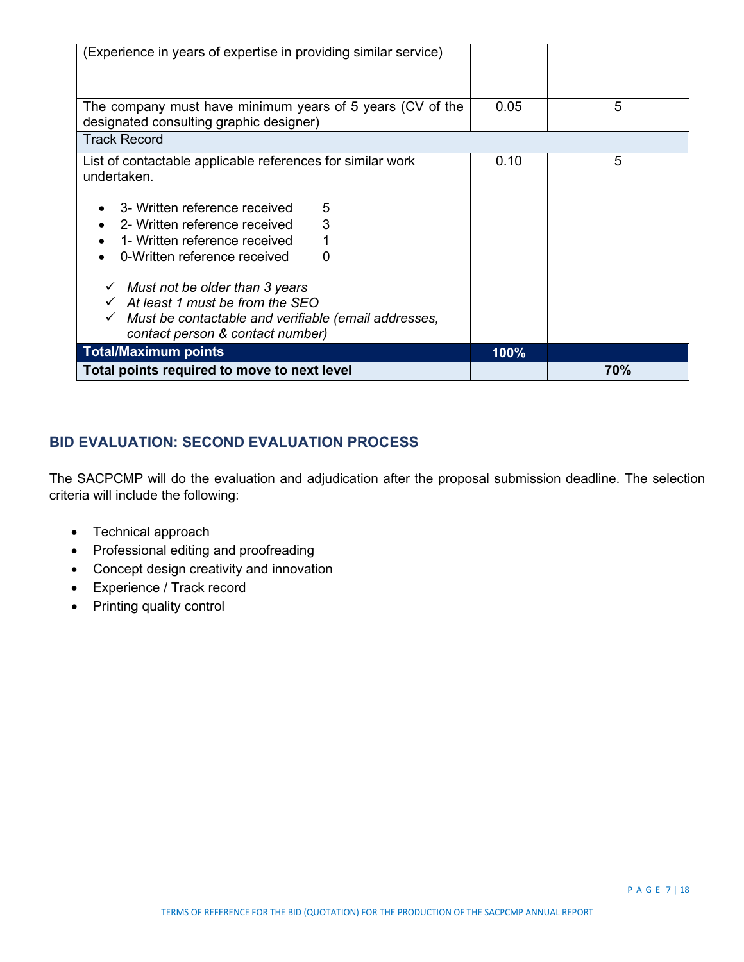| (Experience in years of expertise in providing similar service)                                      |      |     |
|------------------------------------------------------------------------------------------------------|------|-----|
|                                                                                                      |      |     |
|                                                                                                      |      |     |
| The company must have minimum years of 5 years (CV of the<br>designated consulting graphic designer) | 0.05 | 5   |
| <b>Track Record</b>                                                                                  |      |     |
| List of contactable applicable references for similar work                                           | 0.10 | 5   |
| undertaken.                                                                                          |      |     |
| 3- Written reference received<br>5                                                                   |      |     |
| 3<br>2- Written reference received<br>$\bullet$                                                      |      |     |
| 1- Written reference received<br>1<br>$\bullet$                                                      |      |     |
| 0-Written reference received<br>0                                                                    |      |     |
| $\checkmark$ Must not be older than 3 years                                                          |      |     |
| $\checkmark$ At least 1 must be from the SEO                                                         |      |     |
| Must be contactable and verifiable (email addresses,                                                 |      |     |
| contact person & contact number)                                                                     |      |     |
| <b>Total/Maximum points</b>                                                                          | 100% |     |
| Total points required to move to next level                                                          |      | 70% |

# **BID EVALUATION: SECOND EVALUATION PROCESS**

The SACPCMP will do the evaluation and adjudication after the proposal submission deadline. The selection criteria will include the following:

- Technical approach
- Professional editing and proofreading
- Concept design creativity and innovation
- Experience / Track record
- Printing quality control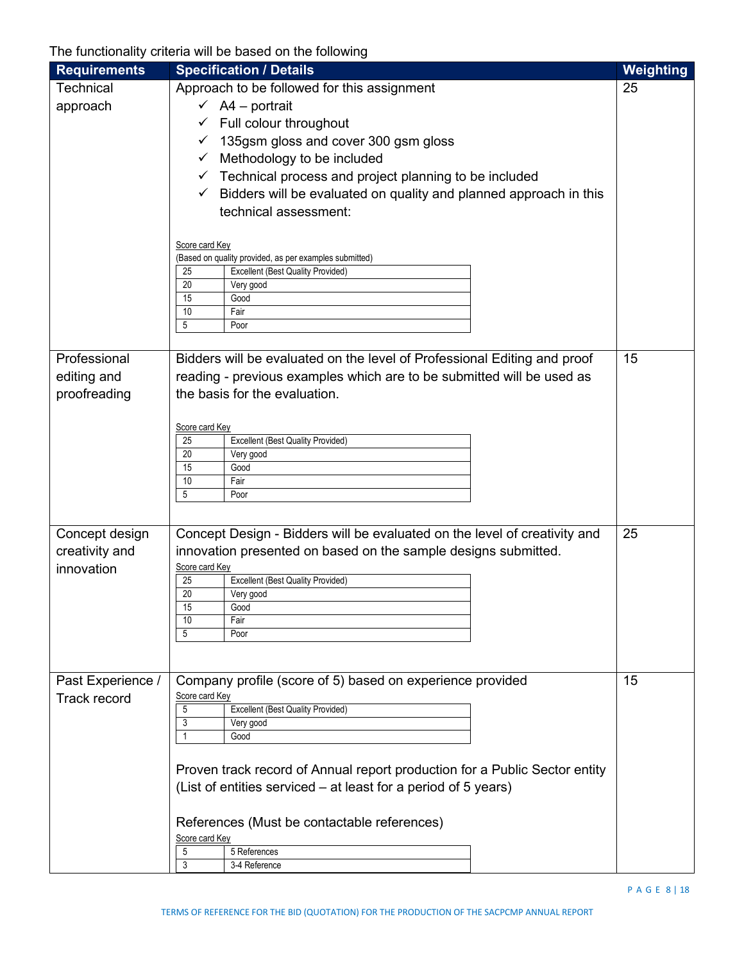The functionality criteria will be based on the following

| <b>Requirements</b> | <b>Specification / Details</b>                                                    | Weighting |
|---------------------|-----------------------------------------------------------------------------------|-----------|
| <b>Technical</b>    | Approach to be followed for this assignment                                       | 25        |
| approach            | $\checkmark$ A4 – portrait                                                        |           |
|                     | Full colour throughout<br>✓                                                       |           |
|                     | 135gsm gloss and cover 300 gsm gloss<br>✓                                         |           |
|                     | Methodology to be included<br>✓                                                   |           |
|                     | Technical process and project planning to be included<br>✓                        |           |
|                     | Bidders will be evaluated on quality and planned approach in this<br>$\checkmark$ |           |
|                     | technical assessment:                                                             |           |
|                     |                                                                                   |           |
|                     | Score card Key                                                                    |           |
|                     | (Based on quality provided, as per examples submitted)                            |           |
|                     | Excellent (Best Quality Provided)<br>25                                           |           |
|                     | 20<br>Very good<br>15<br>Good                                                     |           |
|                     | 10<br>Fair                                                                        |           |
|                     | 5<br>Poor                                                                         |           |
|                     |                                                                                   |           |
| Professional        | Bidders will be evaluated on the level of Professional Editing and proof          | 15        |
| editing and         | reading - previous examples which are to be submitted will be used as             |           |
| proofreading        | the basis for the evaluation.                                                     |           |
|                     |                                                                                   |           |
|                     | Score card Key                                                                    |           |
|                     | <b>Excellent (Best Quality Provided)</b><br>25<br>20                              |           |
|                     | Very good<br>15<br>Good                                                           |           |
|                     | 10<br>Fair                                                                        |           |
|                     | 5<br>Poor                                                                         |           |
|                     |                                                                                   |           |
| Concept design      | Concept Design - Bidders will be evaluated on the level of creativity and         | 25        |
| creativity and      | innovation presented on based on the sample designs submitted.                    |           |
| innovation          | Score card Key                                                                    |           |
|                     | Excellent (Best Quality Provided)<br>25                                           |           |
|                     | 20<br>Very good<br>15<br>Good                                                     |           |
|                     | Fair<br>10                                                                        |           |
|                     | 5<br>Poor                                                                         |           |
|                     |                                                                                   |           |
|                     |                                                                                   |           |
| Past Experience /   | Company profile (score of 5) based on experience provided                         | 15        |
| <b>Track record</b> | Score card Key<br><b>Excellent (Best Quality Provided)</b><br>5                   |           |
|                     | 3<br>Very good                                                                    |           |
|                     | Good                                                                              |           |
|                     |                                                                                   |           |
|                     | Proven track record of Annual report production for a Public Sector entity        |           |
|                     | (List of entities serviced – at least for a period of 5 years)                    |           |
|                     |                                                                                   |           |
|                     | References (Must be contactable references)                                       |           |
|                     | Score card Key                                                                    |           |
|                     | 5 References<br>5<br>3<br>3-4 Reference                                           |           |
|                     |                                                                                   |           |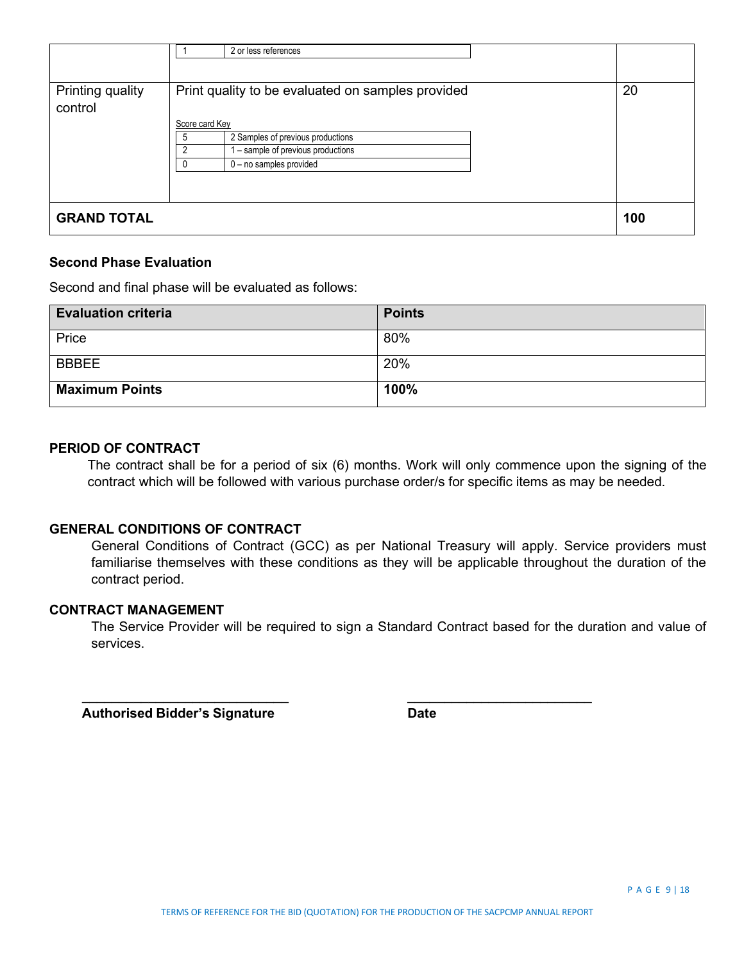|                             | 2 or less references                                                                                                                                                                                          |     |
|-----------------------------|---------------------------------------------------------------------------------------------------------------------------------------------------------------------------------------------------------------|-----|
| Printing quality<br>control | Print quality to be evaluated on samples provided<br>Score card Key<br>2 Samples of previous productions<br>.5<br>$\overline{2}$<br>- sample of previous productions<br>$0 - no$ samples provided<br>$\Omega$ | 20  |
| <b>GRAND TOTAL</b>          |                                                                                                                                                                                                               | 100 |

### **Second Phase Evaluation**

Second and final phase will be evaluated as follows:

| <b>Evaluation criteria</b> | <b>Points</b> |
|----------------------------|---------------|
| Price                      | 80%           |
| <b>BBBEE</b>               | 20%           |
| <b>Maximum Points</b>      | 100%          |

### **PERIOD OF CONTRACT**

The contract shall be for a period of six (6) months. Work will only commence upon the signing of the contract which will be followed with various purchase order/s for specific items as may be needed.

### **GENERAL CONDITIONS OF CONTRACT**

General Conditions of Contract (GCC) as per National Treasury will apply. Service providers must familiarise themselves with these conditions as they will be applicable throughout the duration of the contract period.

### **CONTRACT MANAGEMENT**

The Service Provider will be required to sign a Standard Contract based for the duration and value of services.

 $\overline{\phantom{a}}$  ,  $\overline{\phantom{a}}$  ,  $\overline{\phantom{a}}$  ,  $\overline{\phantom{a}}$  ,  $\overline{\phantom{a}}$  ,  $\overline{\phantom{a}}$  ,  $\overline{\phantom{a}}$  ,  $\overline{\phantom{a}}$  ,  $\overline{\phantom{a}}$  ,  $\overline{\phantom{a}}$  ,  $\overline{\phantom{a}}$  ,  $\overline{\phantom{a}}$  ,  $\overline{\phantom{a}}$  ,  $\overline{\phantom{a}}$  ,  $\overline{\phantom{a}}$  ,  $\overline{\phantom{a}}$ 

 **Authorised Bidder's Signature Date**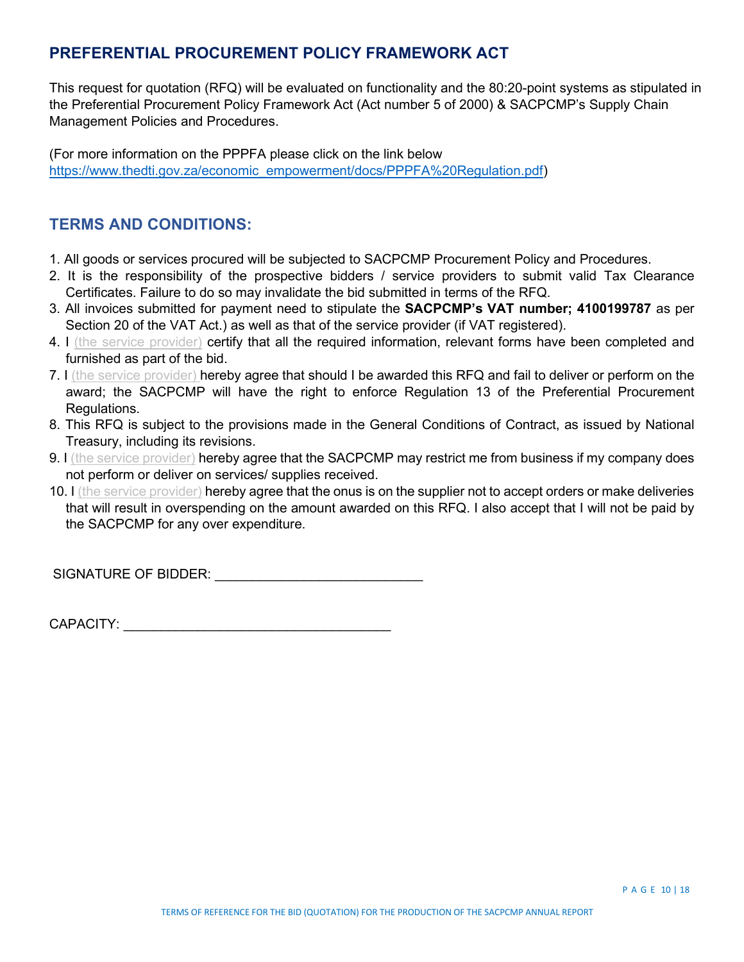# **PREFERENTIAL PROCUREMENT POLICY FRAMEWORK ACT**

This request for quotation (RFQ) will be evaluated on functionality and the 80:20-point systems as stipulated in the Preferential Procurement Policy Framework Act (Act number 5 of 2000) & SACPCMP's Supply Chain Management Policies and Procedures.

(For more information on the PPPFA please click on the link below [https://www.thedti.gov.za/economic\\_empowerment/docs/PPPFA%20Regulation.pdf\)](https://www.thedti.gov.za/economic_empowerment/docs/PPPFA%20Regulation.pdf)

### **TERMS AND CONDITIONS:**

- 1. All goods or services procured will be subjected to SACPCMP Procurement Policy and Procedures.
- 2. It is the responsibility of the prospective bidders / service providers to submit valid Tax Clearance Certificates. Failure to do so may invalidate the bid submitted in terms of the RFQ.
- 3. All invoices submitted for payment need to stipulate the **SACPCMP's VAT number; 4100199787** as per Section 20 of the VAT Act.) as well as that of the service provider (if VAT registered).
- 4. I (the service provider) certify that all the required information, relevant forms have been completed and furnished as part of the bid.
- 7. I (the service provider) hereby agree that should I be awarded this RFQ and fail to deliver or perform on the award; the SACPCMP will have the right to enforce Regulation 13 of the Preferential Procurement Regulations.
- 8. This RFQ is subject to the provisions made in the General Conditions of Contract, as issued by National Treasury, including its revisions.
- 9. I (the service provider) hereby agree that the SACPCMP may restrict me from business if my company does not perform or deliver on services/ supplies received.
- 10. I (the service provider) hereby agree that the onus is on the supplier not to accept orders or make deliveries that will result in overspending on the amount awarded on this RFQ. I also accept that I will not be paid by the SACPCMP for any over expenditure.

SIGNATURE OF BIDDER: **WE are all that the set of the set of the set of the set of the set of the set of the set of the set of the set of the set of the set of the set of the set of the set of the set of the set of the set** 

CAPACITY: \_\_\_\_\_\_\_\_\_\_\_\_\_\_\_\_\_\_\_\_\_\_\_\_\_\_\_\_\_\_\_\_\_\_\_\_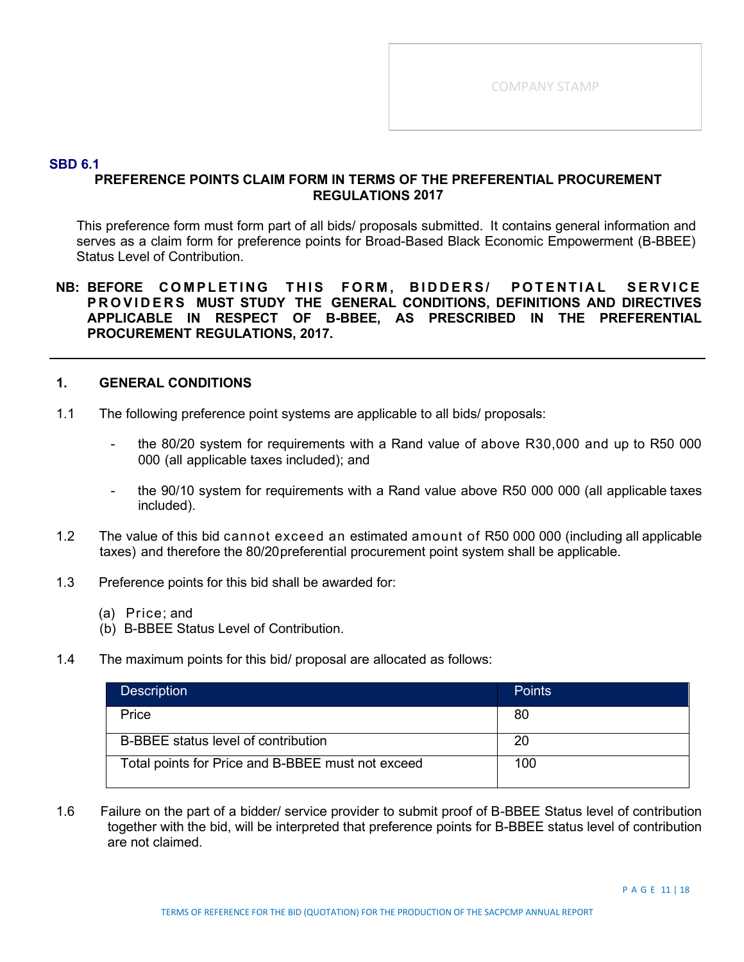### **SBD 6.1**

### **PREFERENCE POINTS CLAIM FORM IN TERMS OF THE PREFERENTIAL PROCUREMENT REGULATIONS 2017**

This preference form must form part of all bids/ proposals submitted. It contains general information and serves as a claim form for preference points for Broad-Based Black Economic Empowerment (B-BBEE) Status Level of Contribution.

### **NB: BEFORE COMPLETING THIS FORM , BIDDERS/ POTENTIAL SERVICE PROVIDERS MUST STUDY THE GENERAL CONDITIONS, DEFINITIONS AND DIRECTIVES APPLICABLE IN RESPECT OF B-BBEE, AS PRESCRIBED IN THE PREFERENTIAL PROCUREMENT REGULATIONS, 2017.**

### **1. GENERAL CONDITIONS**

- 1.1 The following preference point systems are applicable to all bids/ proposals:
	- the 80/20 system for requirements with a Rand value of above R30,000 and up to R50 000 000 (all applicable taxes included); and
	- the 90/10 system for requirements with a Rand value above R50 000 000 (all applicable taxes included).
- 1.2 The value of this bid cannot exceed an estimated amount of R50 000 000 (including all applicable taxes) and therefore the 80/20preferential procurement point system shall be applicable.
- 1.3 Preference points for this bid shall be awarded for:
	- (a) Price; and
	- (b) B-BBEE Status Level of Contribution.
- 1.4 The maximum points for this bid/ proposal are allocated as follows:

| <b>Description</b>                                | <b>Points</b> |
|---------------------------------------------------|---------------|
| Price                                             | 80            |
| B-BBEE status level of contribution               | 20            |
| Total points for Price and B-BBEE must not exceed | 100           |

1.6 Failure on the part of a bidder/ service provider to submit proof of B-BBEE Status level of contribution together with the bid, will be interpreted that preference points for B-BBEE status level of contribution are not claimed.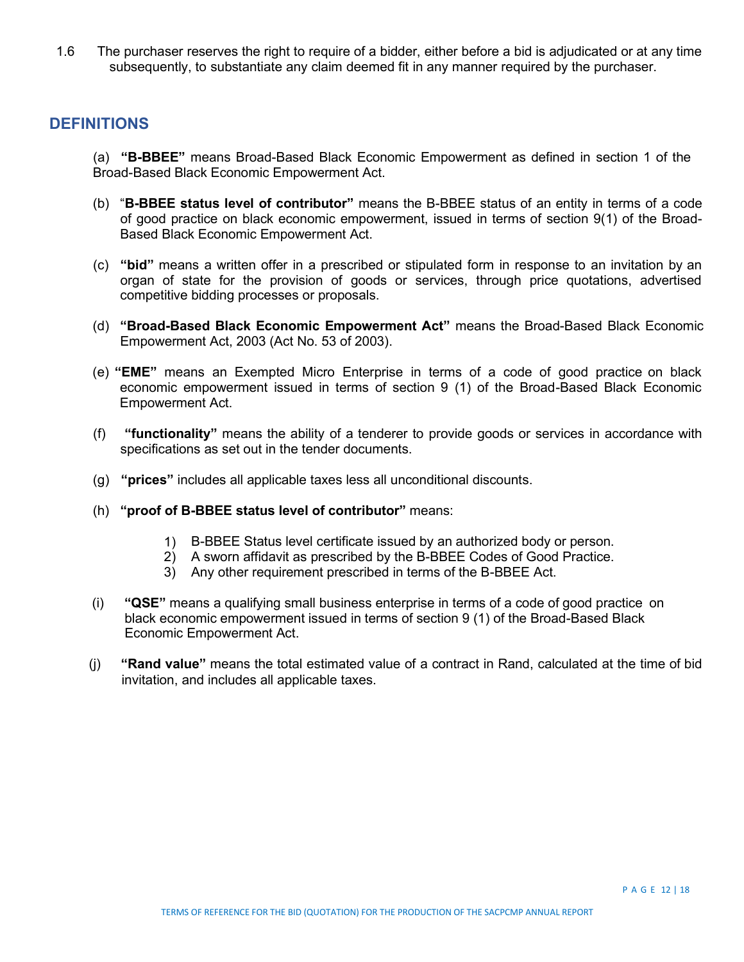1.6 The purchaser reserves the right to require of a bidder, either before a bid is adjudicated or at any time subsequently, to substantiate any claim deemed fit in any manner required by the purchaser.

### **DEFINITIONS**

(a) **"B-BBEE"** means Broad-Based Black Economic Empowerment as defined in section 1 of the Broad-Based Black Economic Empowerment Act.

- (b) "**B-BBEE status level of contributor"** means the B-BBEE status of an entity in terms of a code of good practice on black economic empowerment, issued in terms of section 9(1) of the Broad-Based Black Economic Empowerment Act.
- (c) **"bid"** means a written offer in a prescribed or stipulated form in response to an invitation by an organ of state for the provision of goods or services, through price quotations, advertised competitive bidding processes or proposals.
- (d) **"Broad-Based Black Economic Empowerment Act"** means the Broad-Based Black Economic Empowerment Act, 2003 (Act No. 53 of 2003).
- (e) **"EME"** means an Exempted Micro Enterprise in terms of a code of good practice on black economic empowerment issued in terms of section 9 (1) of the Broad-Based Black Economic Empowerment Act.
- (f) **"functionality"** means the ability of a tenderer to provide goods or services in accordance with specifications as set out in the tender documents.
- (g) **"prices"** includes all applicable taxes less all unconditional discounts.
- (h) **"proof of B-BBEE status level of contributor"** means:
	- 1) B-BBEE Status level certificate issued by an authorized body or person.
	- 2) A sworn affidavit as prescribed by the B-BBEE Codes of Good Practice.
	- 3) Any other requirement prescribed in terms of the B-BBEE Act.
- (i) **"QSE"** means a qualifying small business enterprise in terms of a code of good practice on black economic empowerment issued in terms of section 9 (1) of the Broad-Based Black Economic Empowerment Act.
- (j) **"Rand value"** means the total estimated value of a contract in Rand, calculated at the time of bid invitation, and includes all applicable taxes.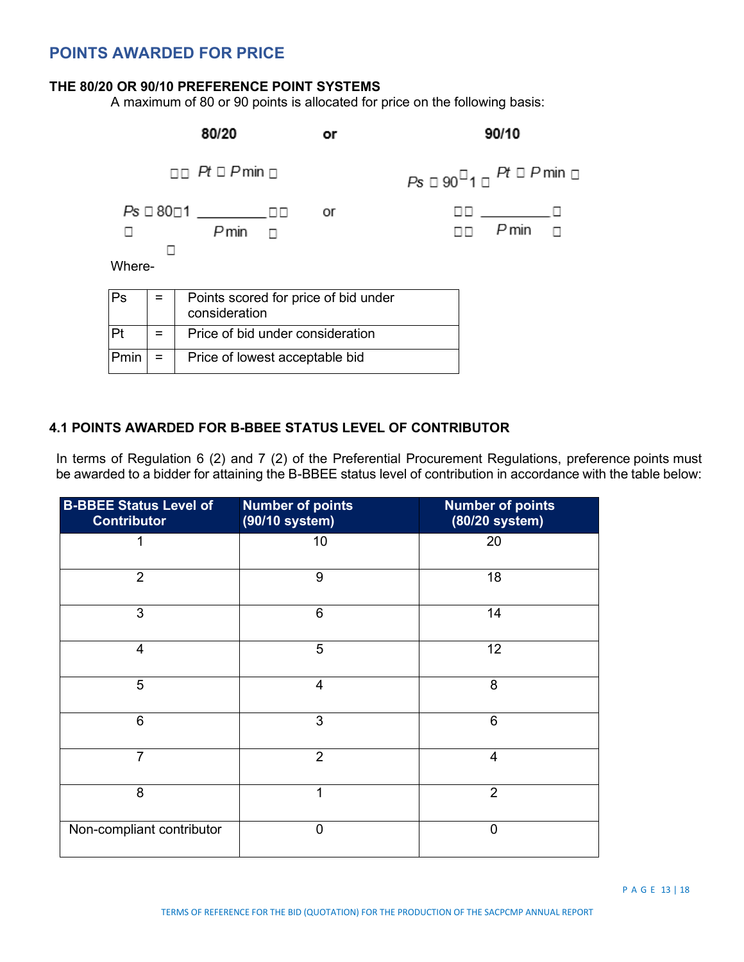# **POINTS AWARDED FOR PRICE**

### **THE 80/20 OR 90/10 PREFERENCE POINT SYSTEMS**

A maximum of 80 or 90 points is allocated for price on the following basis:



### **4.1 POINTS AWARDED FOR B-BBEE STATUS LEVEL OF CONTRIBUTOR**

In terms of Regulation 6 (2) and 7 (2) of the Preferential Procurement Regulations, preference points must be awarded to a bidder for attaining the B-BBEE status level of contribution in accordance with the table below:

| <b>B-BBEE Status Level of</b><br><b>Contributor</b> | <b>Number of points</b><br>(90/10 system) | <b>Number of points</b><br>(80/20 system) |
|-----------------------------------------------------|-------------------------------------------|-------------------------------------------|
| 1                                                   | 10                                        | 20                                        |
| $\overline{2}$                                      | 9                                         | 18                                        |
| 3                                                   | $6\phantom{1}$                            | 14                                        |
| $\overline{4}$                                      | 5                                         | 12                                        |
| 5                                                   | $\overline{4}$                            | 8                                         |
| 6                                                   | 3                                         | $6\phantom{1}6$                           |
| $\overline{7}$                                      | $\overline{2}$                            | $\overline{4}$                            |
| 8                                                   | 1                                         | $\overline{2}$                            |
| Non-compliant contributor                           | $\overline{0}$                            | $\mathbf{0}$                              |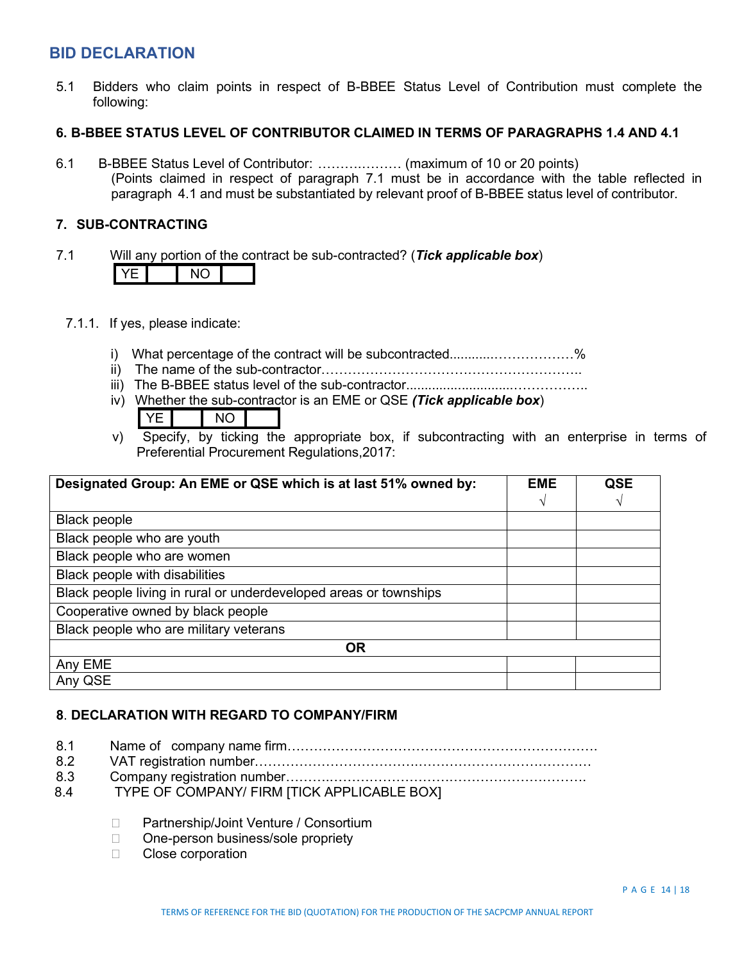## **BID DECLARATION**

5.1 Bidders who claim points in respect of B-BBEE Status Level of Contribution must complete the following:

### **6. B-BBEE STATUS LEVEL OF CONTRIBUTOR CLAIMED IN TERMS OF PARAGRAPHS 1.4 AND 4.1**

6.1 B-BBEE Status Level of Contributor: ……….……… (maximum of 10 or 20 points) (Points claimed in respect of paragraph 7.1 must be in accordance with the table reflected in paragraph 4.1 and must be substantiated by relevant proof of B-BBEE status level of contributor.

### **7. SUB-CONTRACTING**

- 7.1 Will any portion of the contract be sub-contracted? (*Tick applicable box*) YE NO
	- 7.1.1. If yes, please indicate:
		- i) What percentage of the contract will be subcontracted..........................%
		- ii) The name of the sub-contractor…………………………………………………..
		- iii) The B-BBEE status level of the sub-contractor.............................……………..
		- iv) Whether the sub-contractor is an EME or QSE *(Tick applicable box*)
			- YEL INO
		- v) Specify, by ticking the appropriate box, if subcontracting with an enterprise in terms of Preferential Procurement Regulations,2017:

| Designated Group: An EME or QSE which is at last 51% owned by:    |               | <b>QSE</b> |
|-------------------------------------------------------------------|---------------|------------|
|                                                                   | $\mathcal{N}$ |            |
| <b>Black people</b>                                               |               |            |
| Black people who are youth                                        |               |            |
| Black people who are women                                        |               |            |
| Black people with disabilities                                    |               |            |
| Black people living in rural or underdeveloped areas or townships |               |            |
| Cooperative owned by black people                                 |               |            |
| Black people who are military veterans                            |               |            |
| <b>OR</b>                                                         |               |            |
| Any EME                                                           |               |            |
| Any QSE                                                           |               |            |

### **8**. **DECLARATION WITH REGARD TO COMPANY/FIRM**

- 8.1 Name of company name firm…………………………………………………………….
- 8.2 VAT registration number……………………………….…………………………………
- 8.3 Company registration number……….………………………………………………….
- 8.4 TYPE OF COMPANY/ FIRM [TICK APPLICABLE BOX]
	- □ Partnership/Joint Venture / Consortium
	- □ One-person business/sole propriety
	- □ Close corporation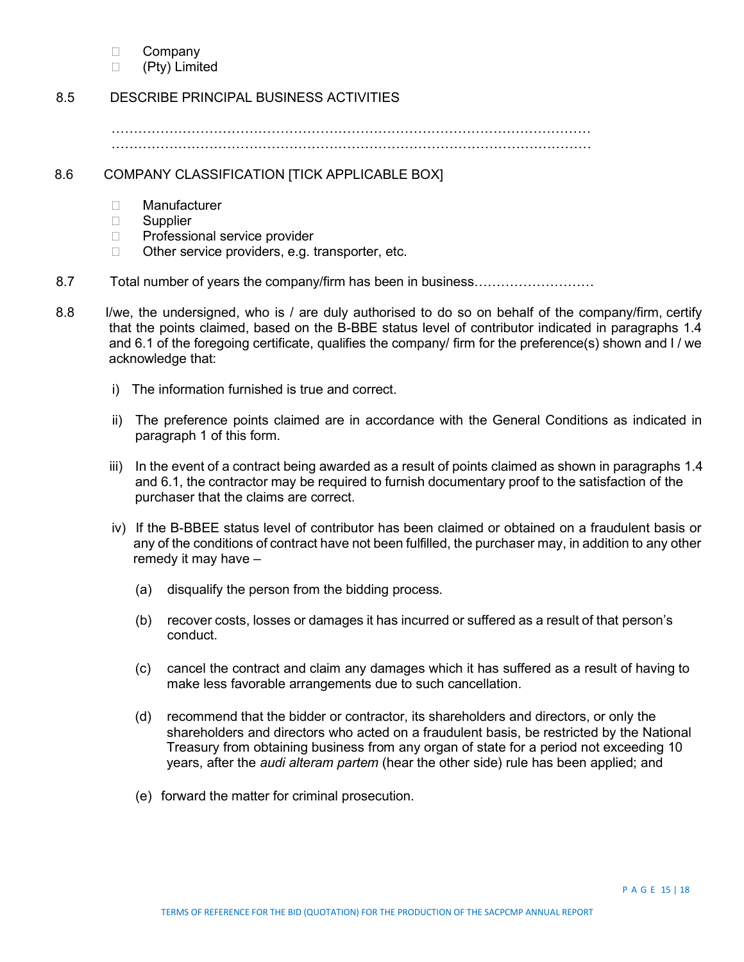- □ Company
- (Pty) Limited

### 8.5 DESCRIBE PRINCIPAL BUSINESS ACTIVITIES

……………………………………………………………………………………………… ………………………………………………………………………………………………

### 8.6 COMPANY CLASSIFICATION [TICK APPLICABLE BOX]

- Manufacturer
- □ Supplier
- □ Professional service provider
- □ Other service providers, e.g. transporter, etc.
- 8.7 Total number of years the company/firm has been in business………………………
- 8.8 I/we, the undersigned, who is / are duly authorised to do so on behalf of the company/firm, certify that the points claimed, based on the B-BBE status level of contributor indicated in paragraphs 1.4 and 6.1 of the foregoing certificate, qualifies the company/ firm for the preference(s) shown and I / we acknowledge that:
	- i) The information furnished is true and correct.
	- ii) The preference points claimed are in accordance with the General Conditions as indicated in paragraph 1 of this form.
	- iii) In the event of a contract being awarded as a result of points claimed as shown in paragraphs 1.4 and 6.1, the contractor may be required to furnish documentary proof to the satisfaction of the purchaser that the claims are correct.
	- iv) If the B-BBEE status level of contributor has been claimed or obtained on a fraudulent basis or any of the conditions of contract have not been fulfilled, the purchaser may, in addition to any other remedy it may have –
		- (a) disqualify the person from the bidding process.
		- (b) recover costs, losses or damages it has incurred or suffered as a result of that person's conduct.
		- (c) cancel the contract and claim any damages which it has suffered as a result of having to make less favorable arrangements due to such cancellation.
		- (d) recommend that the bidder or contractor, its shareholders and directors, or only the shareholders and directors who acted on a fraudulent basis, be restricted by the National Treasury from obtaining business from any organ of state for a period not exceeding 10 years, after the *audi alteram partem* (hear the other side) rule has been applied; and
		- (e) forward the matter for criminal prosecution.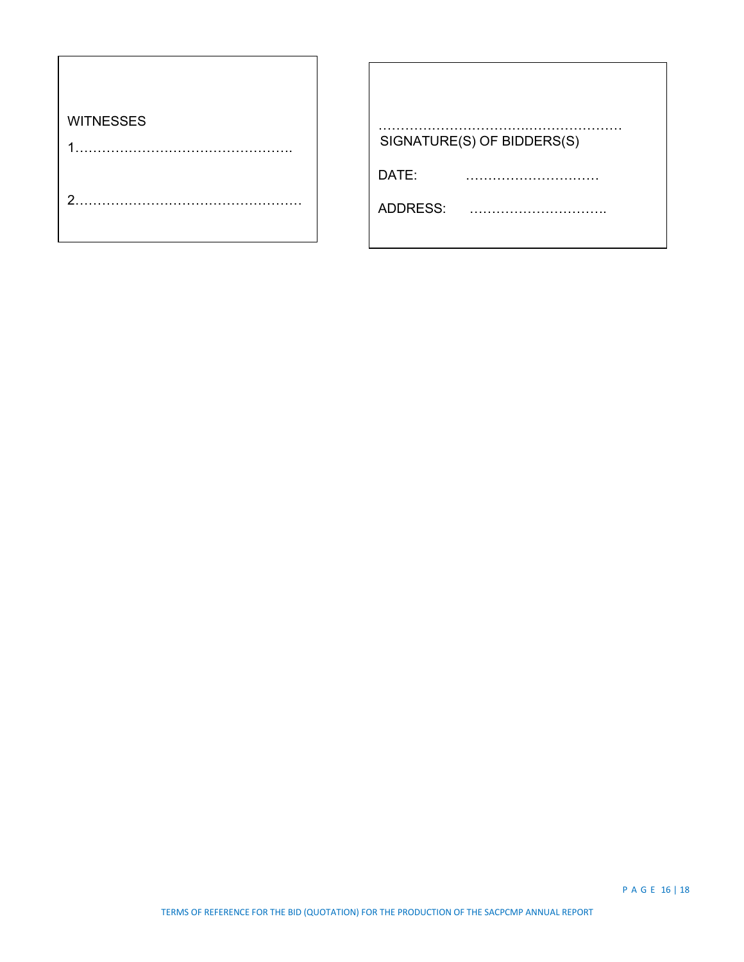| <b>WITNESSES</b> | SIGNATURE(S) OF BIDDERS(S) |
|------------------|----------------------------|
|                  | DATE:                      |
| ◠                | ADDRESS:                   |
|                  |                            |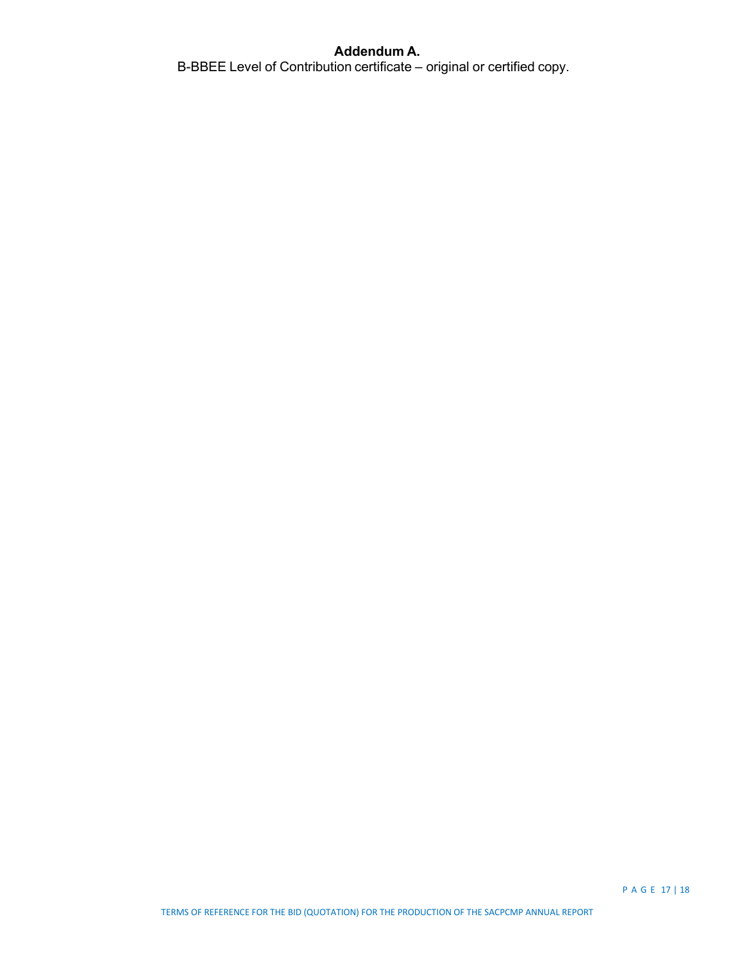### **Addendum A.**

B-BBEE Level of Contribution certificate – original or certified copy.